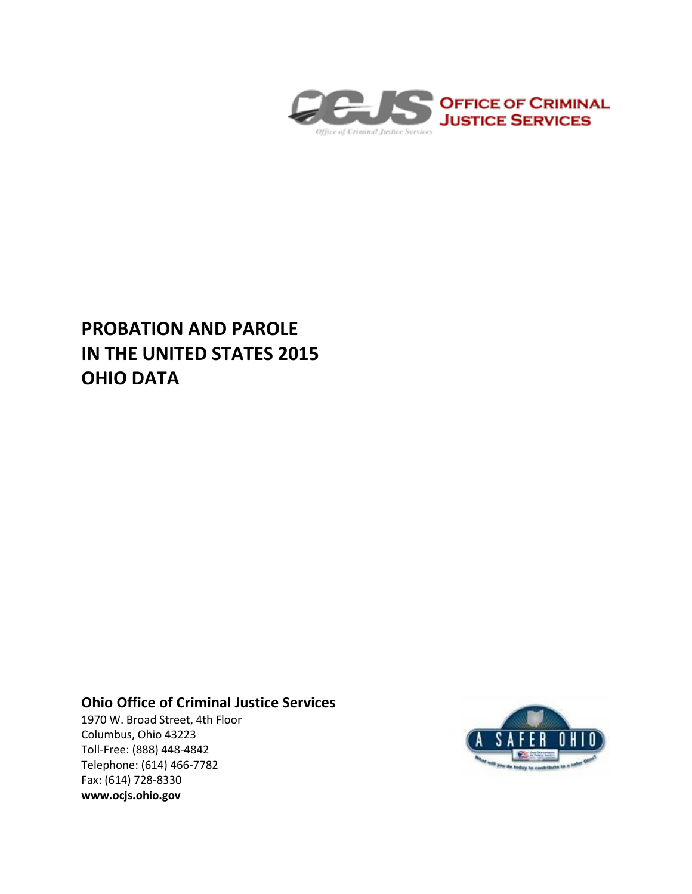

# **PROBATION AND PAROLE IN THE UNITED STATES 2015 OHIO DATA**

## **Ohio Office of Criminal Justice Services**

1970 W. Broad Street, 4th Floor Columbus, Ohio 43223 Toll-Free: (888) 448-4842 Telephone: (614) 466-7782 Fax: (614) 728-8330 **www.ocjs.ohio.gov**

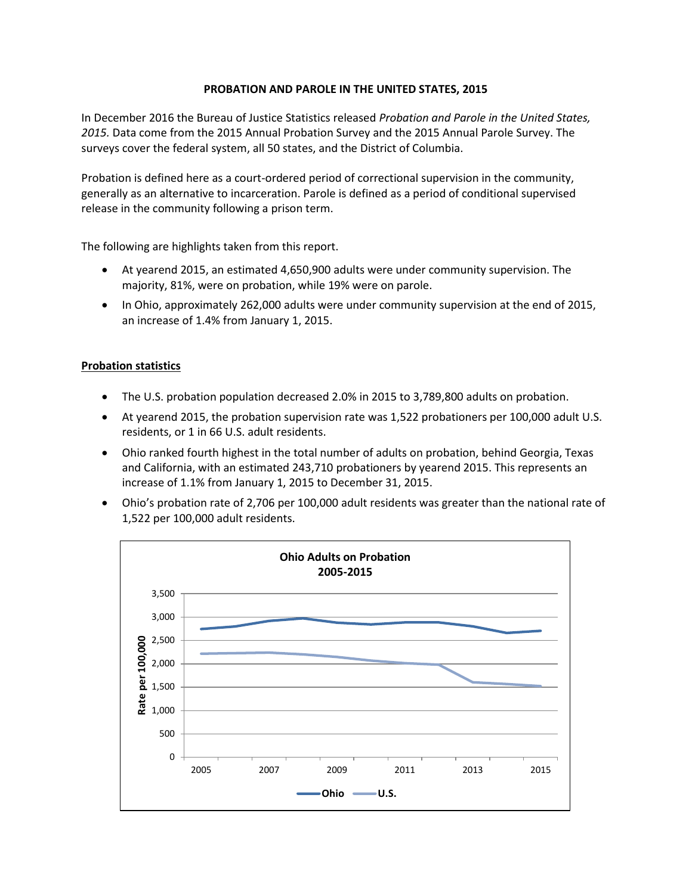### **PROBATION AND PAROLE IN THE UNITED STATES, 2015**

In December 2016 the Bureau of Justice Statistics released *Probation and Parole in the United States, 2015.* Data come from the 2015 Annual Probation Survey and the 2015 Annual Parole Survey. The surveys cover the federal system, all 50 states, and the District of Columbia.

Probation is defined here as a court-ordered period of correctional supervision in the community, generally as an alternative to incarceration. Parole is defined as a period of conditional supervised release in the community following a prison term.

The following are highlights taken from this report.

- At yearend 2015, an estimated 4,650,900 adults were under community supervision. The majority, 81%, were on probation, while 19% were on parole.
- In Ohio, approximately 262,000 adults were under community supervision at the end of 2015, an increase of 1.4% from January 1, 2015.

### **Probation statistics**

- The U.S. probation population decreased 2.0% in 2015 to 3,789,800 adults on probation.
- At yearend 2015, the probation supervision rate was 1,522 probationers per 100,000 adult U.S. residents, or 1 in 66 U.S. adult residents.
- Ohio ranked fourth highest in the total number of adults on probation, behind Georgia, Texas and California, with an estimated 243,710 probationers by yearend 2015. This represents an increase of 1.1% from January 1, 2015 to December 31, 2015.
- Ohio's probation rate of 2,706 per 100,000 adult residents was greater than the national rate of 1,522 per 100,000 adult residents.

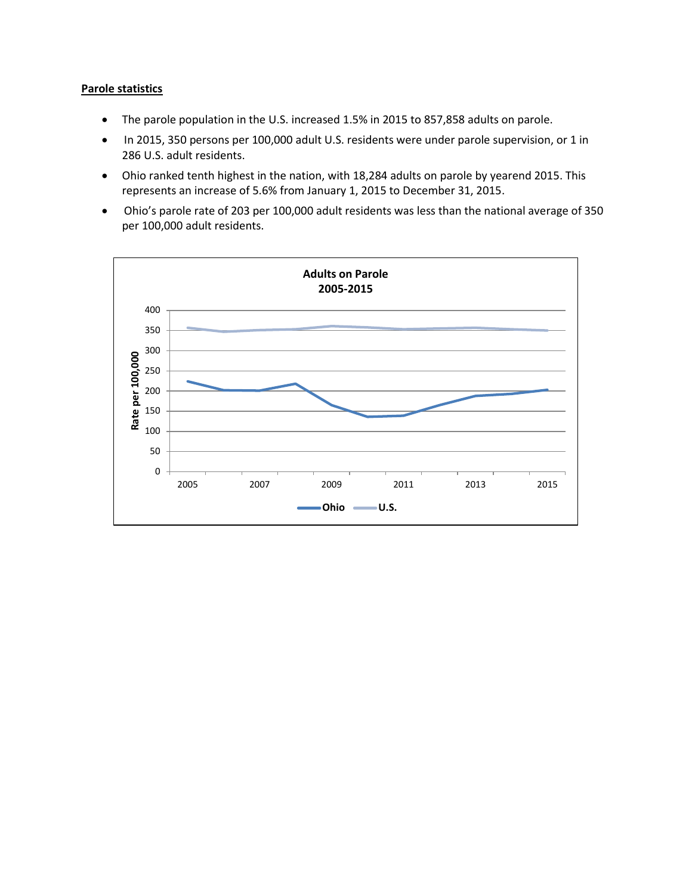#### **Parole statistics**

- The parole population in the U.S. increased 1.5% in 2015 to 857,858 adults on parole.
- In 2015, 350 persons per 100,000 adult U.S. residents were under parole supervision, or 1 in 286 U.S. adult residents.
- Ohio ranked tenth highest in the nation, with 18,284 adults on parole by yearend 2015. This represents an increase of 5.6% from January 1, 2015 to December 31, 2015.
- Ohio's parole rate of 203 per 100,000 adult residents was less than the national average of 350 per 100,000 adult residents.